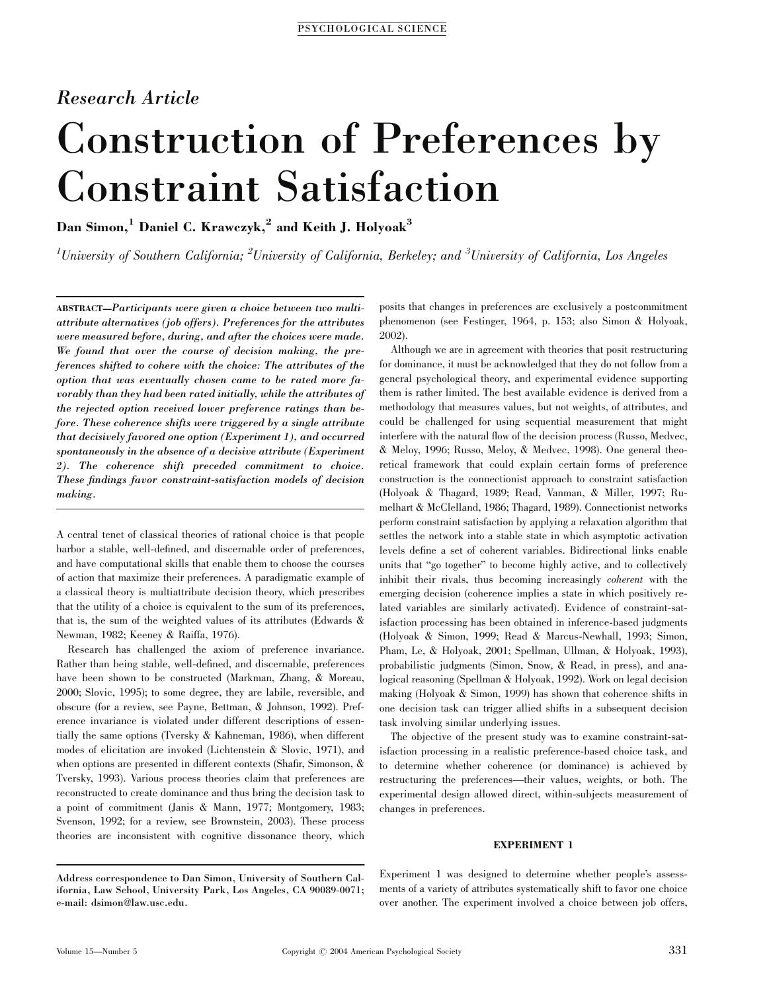# Research Article

# Construction of Preferences by Constraint Satisfaction

Dan Simon,<sup>1</sup> Daniel C. Krawczyk,<sup>2</sup> and Keith J. Holyoak<sup>3</sup>

 $^1$ University of Southern California;  $^2$ University of California, Berkeley; and  $^3$ University of California, Los Angeles

ABSTRACT—Participants were given a choice between two multiattribute alternatives (job offers). Preferences for the attributes were measured before, during, and after the choices were made. We found that over the course of decision making, the preferences shifted to cohere with the choice: The attributes of the option that was eventually chosen came to be rated more favorably than they had been rated initially, while the attributes of the rejected option received lower preference ratings than before. These coherence shifts were triggered by a single attribute that decisively favored one option (Experiment 1), and occurred spontaneously in the absence of a decisive attribute (Experiment 2). The coherence shift preceded commitment to choice. These findings favor constraint-satisfaction models of decision making.

A central tenet of classical theories of rational choice is that people harbor a stable, well-defined, and discernable order of preferences, and have computational skills that enable them to choose the courses of action that maximize their preferences. A paradigmatic example of a classical theory is multiattribute decision theory, which prescribes that the utility of a choice is equivalent to the sum of its preferences, that is, the sum of the weighted values of its attributes (Edwards & Newman, 1982; Keeney & Raiffa, 1976).

Research has challenged the axiom of preference invariance. Rather than being stable, well-defined, and discernable, preferences have been shown to be constructed (Markman, Zhang, & Moreau, 2000; Slovic, 1995); to some degree, they are labile, reversible, and obscure (for a review, see Payne, Bettman, & Johnson, 1992). Preference invariance is violated under different descriptions of essentially the same options (Tversky & Kahneman, 1986), when different modes of elicitation are invoked (Lichtenstein & Slovic, 1971), and when options are presented in different contexts (Shafir, Simonson, & Tversky, 1993). Various process theories claim that preferences are reconstructed to create dominance and thus bring the decision task to a point of commitment (Janis & Mann, 1977; Montgomery, 1983; Svenson, 1992; for a review, see Brownstein, 2003). These process theories are inconsistent with cognitive dissonance theory, which

Address correspondence to Dan Simon, University of Southern California, Law School, University Park, Los Angeles, CA 90089-0071; e-mail: dsimon@law.usc.edu.

posits that changes in preferences are exclusively a postcommitment phenomenon (see Festinger, 1964, p. 153; also Simon & Holyoak, 2002).

Although we are in agreement with theories that posit restructuring for dominance, it must be acknowledged that they do not follow from a general psychological theory, and experimental evidence supporting them is rather limited. The best available evidence is derived from a methodology that measures values, but not weights, of attributes, and could be challenged for using sequential measurement that might interfere with the natural flow of the decision process (Russo, Medvec, & Meloy, 1996; Russo, Meloy, & Medvec, 1998). One general theoretical framework that could explain certain forms of preference construction is the connectionist approach to constraint satisfaction (Holyoak & Thagard, 1989; Read, Vanman, & Miller, 1997; Rumelhart & McClelland, 1986; Thagard, 1989). Connectionist networks perform constraint satisfaction by applying a relaxation algorithm that settles the network into a stable state in which asymptotic activation levels define a set of coherent variables. Bidirectional links enable units that ''go together'' to become highly active, and to collectively inhibit their rivals, thus becoming increasingly coherent with the emerging decision (coherence implies a state in which positively related variables are similarly activated). Evidence of constraint-satisfaction processing has been obtained in inference-based judgments (Holyoak & Simon, 1999; Read & Marcus-Newhall, 1993; Simon, Pham, Le, & Holyoak, 2001; Spellman, Ullman, & Holyoak, 1993), probabilistic judgments (Simon, Snow, & Read, in press), and analogical reasoning (Spellman & Holyoak, 1992). Work on legal decision making (Holyoak & Simon, 1999) has shown that coherence shifts in one decision task can trigger allied shifts in a subsequent decision task involving similar underlying issues.

The objective of the present study was to examine constraint-satisfaction processing in a realistic preference-based choice task, and to determine whether coherence (or dominance) is achieved by restructuring the preferences—their values, weights, or both. The experimental design allowed direct, within-subjects measurement of changes in preferences.

# EXPERIMENT 1

Experiment 1 was designed to determine whether people's assessments of a variety of attributes systematically shift to favor one choice over another. The experiment involved a choice between job offers,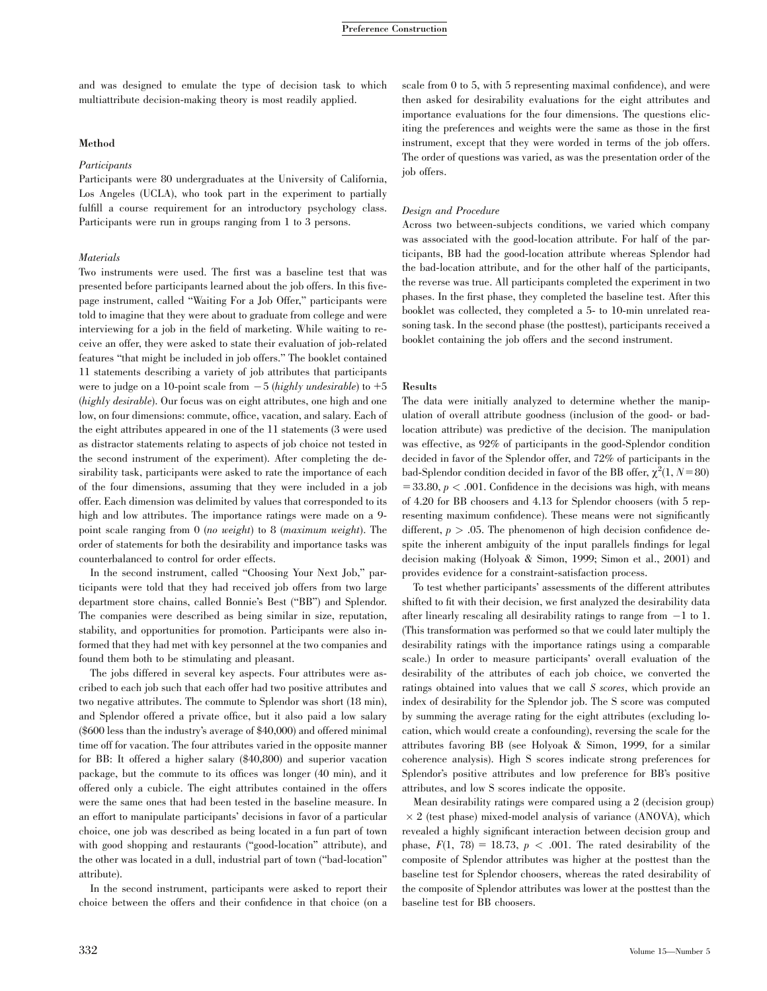and was designed to emulate the type of decision task to which multiattribute decision-making theory is most readily applied.

# Method

# Participants

Participants were 80 undergraduates at the University of California, Los Angeles (UCLA), who took part in the experiment to partially fulfill a course requirement for an introductory psychology class. Participants were run in groups ranging from 1 to 3 persons.

#### **Materials**

Two instruments were used. The first was a baseline test that was presented before participants learned about the job offers. In this fivepage instrument, called ''Waiting For a Job Offer,'' participants were told to imagine that they were about to graduate from college and were interviewing for a job in the field of marketing. While waiting to receive an offer, they were asked to state their evaluation of job-related features ''that might be included in job offers.'' The booklet contained 11 statements describing a variety of job attributes that participants were to judge on a 10-point scale from  $-5$  (highly undesirable) to  $+5$ (highly desirable). Our focus was on eight attributes, one high and one low, on four dimensions: commute, office, vacation, and salary. Each of the eight attributes appeared in one of the 11 statements (3 were used as distractor statements relating to aspects of job choice not tested in the second instrument of the experiment). After completing the desirability task, participants were asked to rate the importance of each of the four dimensions, assuming that they were included in a job offer. Each dimension was delimited by values that corresponded to its high and low attributes. The importance ratings were made on a 9 point scale ranging from 0 (no weight) to 8 (maximum weight). The order of statements for both the desirability and importance tasks was counterbalanced to control for order effects.

In the second instrument, called ''Choosing Your Next Job,'' participants were told that they had received job offers from two large department store chains, called Bonnie's Best (''BB'') and Splendor. The companies were described as being similar in size, reputation, stability, and opportunities for promotion. Participants were also informed that they had met with key personnel at the two companies and found them both to be stimulating and pleasant.

The jobs differed in several key aspects. Four attributes were ascribed to each job such that each offer had two positive attributes and two negative attributes. The commute to Splendor was short (18 min), and Splendor offered a private office, but it also paid a low salary (\$600 less than the industry's average of \$40,000) and offered minimal time off for vacation. The four attributes varied in the opposite manner for BB: It offered a higher salary (\$40,800) and superior vacation package, but the commute to its offices was longer (40 min), and it offered only a cubicle. The eight attributes contained in the offers were the same ones that had been tested in the baseline measure. In an effort to manipulate participants' decisions in favor of a particular choice, one job was described as being located in a fun part of town with good shopping and restaurants ("good-location" attribute), and the other was located in a dull, industrial part of town (''bad-location'' attribute).

In the second instrument, participants were asked to report their choice between the offers and their confidence in that choice (on a scale from 0 to 5, with 5 representing maximal confidence), and were then asked for desirability evaluations for the eight attributes and importance evaluations for the four dimensions. The questions eliciting the preferences and weights were the same as those in the first instrument, except that they were worded in terms of the job offers. The order of questions was varied, as was the presentation order of the job offers.

#### Design and Procedure

Across two between-subjects conditions, we varied which company was associated with the good-location attribute. For half of the participants, BB had the good-location attribute whereas Splendor had the bad-location attribute, and for the other half of the participants, the reverse was true. All participants completed the experiment in two phases. In the first phase, they completed the baseline test. After this booklet was collected, they completed a 5- to 10-min unrelated reasoning task. In the second phase (the posttest), participants received a booklet containing the job offers and the second instrument.

# Results

The data were initially analyzed to determine whether the manipulation of overall attribute goodness (inclusion of the good- or badlocation attribute) was predictive of the decision. The manipulation was effective, as 92% of participants in the good-Splendor condition decided in favor of the Splendor offer, and 72% of participants in the bad-Splendor condition decided in favor of the BB offer,  $\chi^2(1, N=80)$  $=$  33.80,  $p < .001$ . Confidence in the decisions was high, with means of 4.20 for BB choosers and 4.13 for Splendor choosers (with 5 representing maximum confidence). These means were not significantly different,  $p > .05$ . The phenomenon of high decision confidence despite the inherent ambiguity of the input parallels findings for legal decision making (Holyoak & Simon, 1999; Simon et al., 2001) and provides evidence for a constraint-satisfaction process.

To test whether participants' assessments of the different attributes shifted to fit with their decision, we first analyzed the desirability data after linearly rescaling all desirability ratings to range from -1 to 1. (This transformation was performed so that we could later multiply the desirability ratings with the importance ratings using a comparable scale.) In order to measure participants' overall evaluation of the desirability of the attributes of each job choice, we converted the ratings obtained into values that we call S scores, which provide an index of desirability for the Splendor job. The S score was computed by summing the average rating for the eight attributes (excluding location, which would create a confounding), reversing the scale for the attributes favoring BB (see Holyoak & Simon, 1999, for a similar coherence analysis). High S scores indicate strong preferences for Splendor's positive attributes and low preference for BB's positive attributes, and low S scores indicate the opposite.

Mean desirability ratings were compared using a 2 (decision group)  $\times$  2 (test phase) mixed-model analysis of variance (ANOVA), which revealed a highly significant interaction between decision group and phase,  $F(1, 78) = 18.73$ ,  $p < .001$ . The rated desirability of the composite of Splendor attributes was higher at the posttest than the baseline test for Splendor choosers, whereas the rated desirability of the composite of Splendor attributes was lower at the posttest than the baseline test for BB choosers.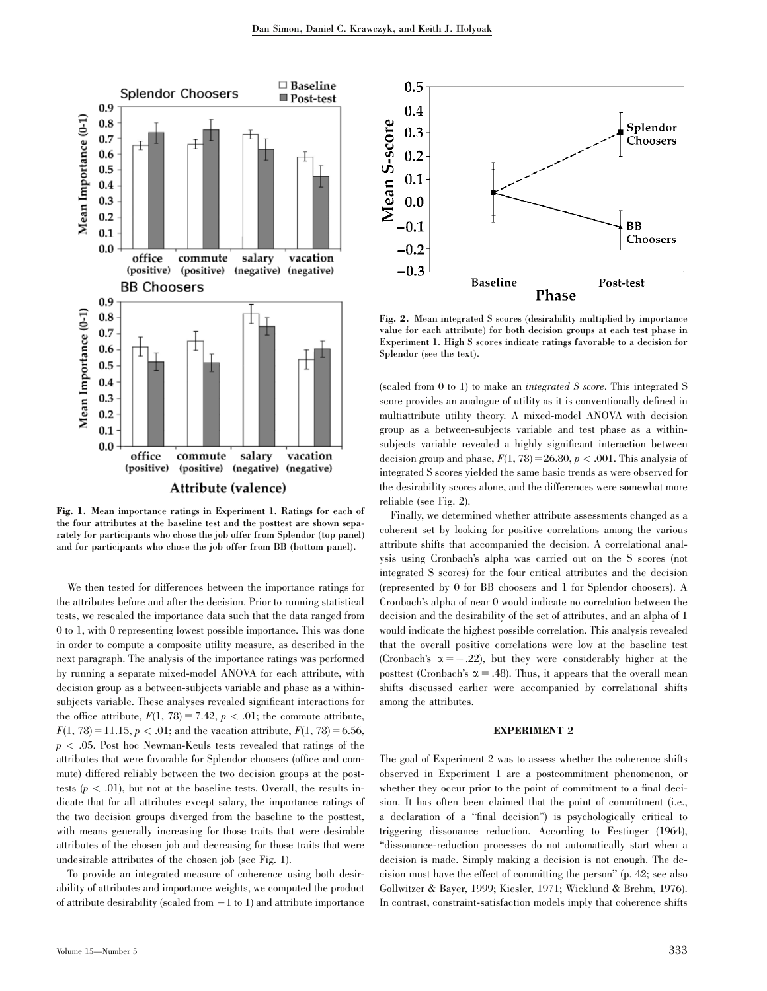

Fig. 1. Mean importance ratings in Experiment 1. Ratings for each of the four attributes at the baseline test and the posttest are shown separately for participants who chose the job offer from Splendor (top panel) and for participants who chose the job offer from BB (bottom panel).

We then tested for differences between the importance ratings for the attributes before and after the decision. Prior to running statistical tests, we rescaled the importance data such that the data ranged from 0 to 1, with 0 representing lowest possible importance. This was done in order to compute a composite utility measure, as described in the next paragraph. The analysis of the importance ratings was performed by running a separate mixed-model ANOVA for each attribute, with decision group as a between-subjects variable and phase as a withinsubjects variable. These analyses revealed significant interactions for the office attribute,  $F(1, 78) = 7.42$ ,  $p < .01$ ; the commute attribute,  $F(1, 78) = 11.15, p < .01$ ; and the vacation attribute,  $F(1, 78) = 6.56$ ,  $p < .05$ . Post hoc Newman-Keuls tests revealed that ratings of the attributes that were favorable for Splendor choosers (office and commute) differed reliably between the two decision groups at the posttests  $(p < .01)$ , but not at the baseline tests. Overall, the results indicate that for all attributes except salary, the importance ratings of the two decision groups diverged from the baseline to the posttest, with means generally increasing for those traits that were desirable attributes of the chosen job and decreasing for those traits that were undesirable attributes of the chosen job (see Fig. 1).

To provide an integrated measure of coherence using both desirability of attributes and importance weights, we computed the product of attribute desirability (scaled from -1 to 1) and attribute importance



Fig. 2. Mean integrated S scores (desirability multiplied by importance value for each attribute) for both decision groups at each test phase in Experiment 1. High S scores indicate ratings favorable to a decision for Splendor (see the text).

(scaled from 0 to 1) to make an integrated S score. This integrated S score provides an analogue of utility as it is conventionally defined in multiattribute utility theory. A mixed-model ANOVA with decision group as a between-subjects variable and test phase as a withinsubjects variable revealed a highly significant interaction between decision group and phase,  $F(1, 78) = 26.80, p < .001$ . This analysis of integrated S scores yielded the same basic trends as were observed for the desirability scores alone, and the differences were somewhat more reliable (see Fig. 2).

Finally, we determined whether attribute assessments changed as a coherent set by looking for positive correlations among the various attribute shifts that accompanied the decision. A correlational analysis using Cronbach's alpha was carried out on the S scores (not integrated S scores) for the four critical attributes and the decision (represented by 0 for BB choosers and 1 for Splendor choosers). A Cronbach's alpha of near 0 would indicate no correlation between the decision and the desirability of the set of attributes, and an alpha of 1 would indicate the highest possible correlation. This analysis revealed that the overall positive correlations were low at the baseline test (Cronbach's  $\alpha = -0.22$ ), but they were considerably higher at the posttest (Cronbach's  $\alpha$  = .48). Thus, it appears that the overall mean shifts discussed earlier were accompanied by correlational shifts among the attributes.

# EXPERIMENT 2

The goal of Experiment 2 was to assess whether the coherence shifts observed in Experiment 1 are a postcommitment phenomenon, or whether they occur prior to the point of commitment to a final decision. It has often been claimed that the point of commitment (i.e., a declaration of a ''final decision'') is psychologically critical to triggering dissonance reduction. According to Festinger (1964), ''dissonance-reduction processes do not automatically start when a decision is made. Simply making a decision is not enough. The decision must have the effect of committing the person'' (p. 42; see also Gollwitzer & Bayer, 1999; Kiesler, 1971; Wicklund & Brehm, 1976). In contrast, constraint-satisfaction models imply that coherence shifts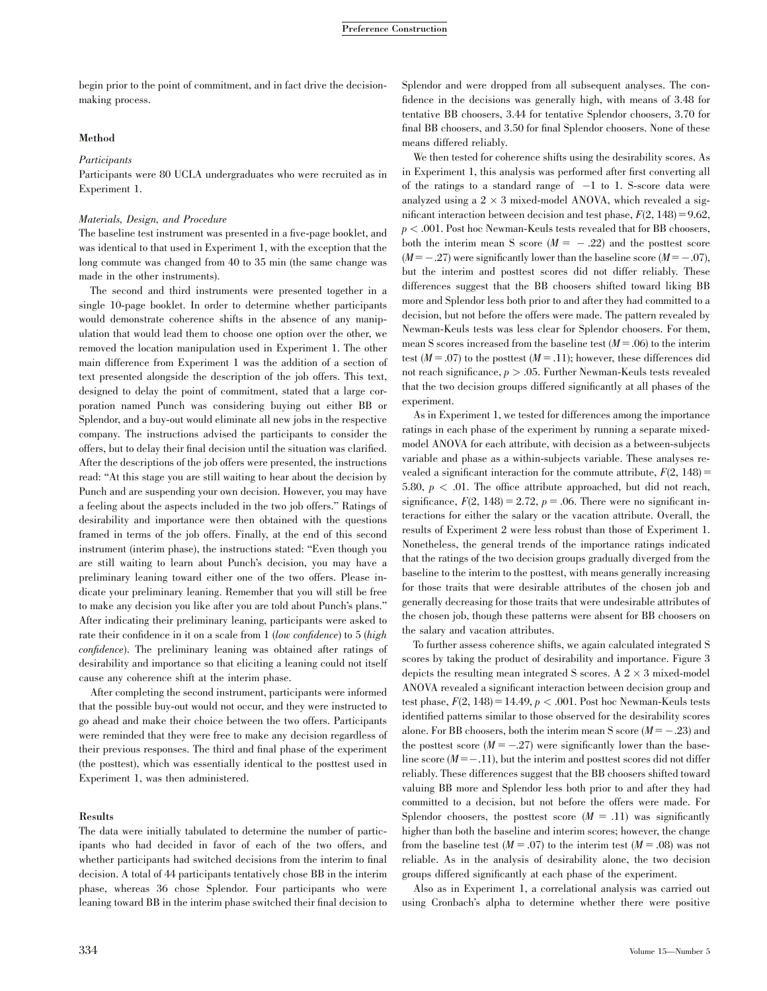begin prior to the point of commitment, and in fact drive the decisionmaking process.

## Method

#### **Participants**

Participants were 80 UCLA undergraduates who were recruited as in Experiment 1.

## Materials, Design, and Procedure

The baseline test instrument was presented in a five-page booklet, and was identical to that used in Experiment 1, with the exception that the long commute was changed from 40 to 35 min (the same change was made in the other instruments).

The second and third instruments were presented together in a single 10-page booklet. In order to determine whether participants would demonstrate coherence shifts in the absence of any manipulation that would lead them to choose one option over the other, we removed the location manipulation used in Experiment 1. The other main difference from Experiment 1 was the addition of a section of text presented alongside the description of the job offers. This text, designed to delay the point of commitment, stated that a large corporation named Punch was considering buying out either BB or Splendor, and a buy-out would eliminate all new jobs in the respective company. The instructions advised the participants to consider the offers, but to delay their final decision until the situation was clarified. After the descriptions of the job offers were presented, the instructions read: ''At this stage you are still waiting to hear about the decision by Punch and are suspending your own decision. However, you may have a feeling about the aspects included in the two job offers.'' Ratings of desirability and importance were then obtained with the questions framed in terms of the job offers. Finally, at the end of this second instrument (interim phase), the instructions stated: ''Even though you are still waiting to learn about Punch's decision, you may have a preliminary leaning toward either one of the two offers. Please indicate your preliminary leaning. Remember that you will still be free to make any decision you like after you are told about Punch's plans.'' After indicating their preliminary leaning, participants were asked to rate their confidence in it on a scale from 1 (low confidence) to 5 (high confidence). The preliminary leaning was obtained after ratings of desirability and importance so that eliciting a leaning could not itself cause any coherence shift at the interim phase.

After completing the second instrument, participants were informed that the possible buy-out would not occur, and they were instructed to go ahead and make their choice between the two offers. Participants were reminded that they were free to make any decision regardless of their previous responses. The third and final phase of the experiment (the posttest), which was essentially identical to the posttest used in Experiment 1, was then administered.

#### Results

The data were initially tabulated to determine the number of participants who had decided in favor of each of the two offers, and whether participants had switched decisions from the interim to final decision. A total of 44 participants tentatively chose BB in the interim phase, whereas 36 chose Splendor. Four participants who were leaning toward BB in the interim phase switched their final decision to Splendor and were dropped from all subsequent analyses. The confidence in the decisions was generally high, with means of 3.48 for tentative BB choosers, 3.44 for tentative Splendor choosers, 3.70 for final BB choosers, and 3.50 for final Splendor choosers. None of these means differed reliably.

We then tested for coherence shifts using the desirability scores. As in Experiment 1, this analysis was performed after first converting all of the ratings to a standard range of  $-1$  to 1. S-score data were analyzed using a  $2 \times 3$  mixed-model ANOVA, which revealed a significant interaction between decision and test phase,  $F(2, 148) = 9.62$ ,  $p < .001$ . Post hoc Newman-Keuls tests revealed that for BB choosers, both the interim mean S score  $(M = -0.22)$  and the posttest score  $(M=-.27)$  were significantly lower than the baseline score  $(M=-.07)$ , but the interim and posttest scores did not differ reliably. These differences suggest that the BB choosers shifted toward liking BB more and Splendor less both prior to and after they had committed to a decision, but not before the offers were made. The pattern revealed by Newman-Keuls tests was less clear for Splendor choosers. For them, mean S scores increased from the baseline test  $(M=0.06)$  to the interim test ( $M=0.07$ ) to the posttest ( $M=11$ ); however, these differences did not reach significance,  $p > .05$ . Further Newman-Keuls tests revealed that the two decision groups differed significantly at all phases of the experiment.

As in Experiment 1, we tested for differences among the importance ratings in each phase of the experiment by running a separate mixedmodel ANOVA for each attribute, with decision as a between-subjects variable and phase as a within-subjects variable. These analyses revealed a significant interaction for the commute attribute,  $F(2, 148)$ 5.80,  $p < 0.01$ . The office attribute approached, but did not reach, significance,  $F(2, 148) = 2.72$ ,  $p = .06$ . There were no significant interactions for either the salary or the vacation attribute. Overall, the results of Experiment 2 were less robust than those of Experiment 1. Nonetheless, the general trends of the importance ratings indicated that the ratings of the two decision groups gradually diverged from the baseline to the interim to the posttest, with means generally increasing for those traits that were desirable attributes of the chosen job and generally decreasing for those traits that were undesirable attributes of the chosen job, though these patterns were absent for BB choosers on the salary and vacation attributes.

To further assess coherence shifts, we again calculated integrated S scores by taking the product of desirability and importance. Figure 3 depicts the resulting mean integrated S scores. A  $2 \times 3$  mixed-model ANOVA revealed a significant interaction between decision group and test phase,  $F(2, 148) = 14.49, p < .001$ . Post hoc Newman-Keuls tests identified patterns similar to those observed for the desirability scores alone. For BB choosers, both the interim mean S score  $(M=-.23)$  and the posttest score  $(M = -.27)$  were significantly lower than the baseline score  $(M=-.11)$ , but the interim and posttest scores did not differ reliably. These differences suggest that the BB choosers shifted toward valuing BB more and Splendor less both prior to and after they had committed to a decision, but not before the offers were made. For Splendor choosers, the posttest score  $(M = .11)$  was significantly higher than both the baseline and interim scores; however, the change from the baseline test  $(M = .07)$  to the interim test  $(M = .08)$  was not reliable. As in the analysis of desirability alone, the two decision groups differed significantly at each phase of the experiment.

Also as in Experiment 1, a correlational analysis was carried out using Cronbach's alpha to determine whether there were positive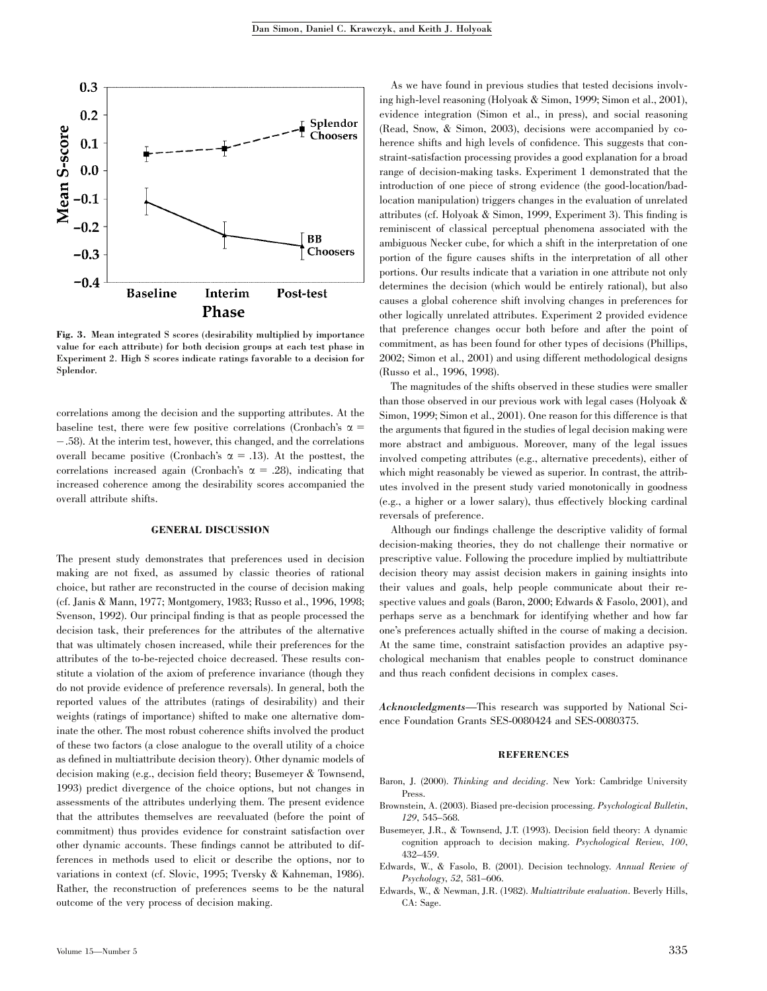

Fig. 3. Mean integrated S scores (desirability multiplied by importance value for each attribute) for both decision groups at each test phase in Experiment 2. High S scores indicate ratings favorable to a decision for Splendor.

correlations among the decision and the supporting attributes. At the baseline test, there were few positive correlations (Cronbach's  $\alpha$  = -.58). At the interim test, however, this changed, and the correlations overall became positive (Cronbach's  $\alpha = .13$ ). At the positiest, the correlations increased again (Cronbach's  $\alpha = .28$ ), indicating that increased coherence among the desirability scores accompanied the overall attribute shifts.

# GENERAL DISCUSSION

The present study demonstrates that preferences used in decision making are not fixed, as assumed by classic theories of rational choice, but rather are reconstructed in the course of decision making (cf. Janis & Mann, 1977; Montgomery, 1983; Russo et al., 1996, 1998; Svenson, 1992). Our principal finding is that as people processed the decision task, their preferences for the attributes of the alternative that was ultimately chosen increased, while their preferences for the attributes of the to-be-rejected choice decreased. These results constitute a violation of the axiom of preference invariance (though they do not provide evidence of preference reversals). In general, both the reported values of the attributes (ratings of desirability) and their weights (ratings of importance) shifted to make one alternative dominate the other. The most robust coherence shifts involved the product of these two factors (a close analogue to the overall utility of a choice as defined in multiattribute decision theory). Other dynamic models of decision making (e.g., decision field theory; Busemeyer & Townsend, 1993) predict divergence of the choice options, but not changes in assessments of the attributes underlying them. The present evidence that the attributes themselves are reevaluated (before the point of commitment) thus provides evidence for constraint satisfaction over other dynamic accounts. These findings cannot be attributed to differences in methods used to elicit or describe the options, nor to variations in context (cf. Slovic, 1995; Tversky & Kahneman, 1986). Rather, the reconstruction of preferences seems to be the natural outcome of the very process of decision making.

As we have found in previous studies that tested decisions involving high-level reasoning (Holyoak & Simon, 1999; Simon et al., 2001), evidence integration (Simon et al., in press), and social reasoning (Read, Snow, & Simon, 2003), decisions were accompanied by coherence shifts and high levels of confidence. This suggests that constraint-satisfaction processing provides a good explanation for a broad range of decision-making tasks. Experiment 1 demonstrated that the introduction of one piece of strong evidence (the good-location/badlocation manipulation) triggers changes in the evaluation of unrelated attributes (cf. Holyoak & Simon, 1999, Experiment 3). This finding is reminiscent of classical perceptual phenomena associated with the ambiguous Necker cube, for which a shift in the interpretation of one portion of the figure causes shifts in the interpretation of all other portions. Our results indicate that a variation in one attribute not only determines the decision (which would be entirely rational), but also causes a global coherence shift involving changes in preferences for other logically unrelated attributes. Experiment 2 provided evidence that preference changes occur both before and after the point of commitment, as has been found for other types of decisions (Phillips, 2002; Simon et al., 2001) and using different methodological designs (Russo et al., 1996, 1998).

The magnitudes of the shifts observed in these studies were smaller than those observed in our previous work with legal cases (Holyoak & Simon, 1999; Simon et al., 2001). One reason for this difference is that the arguments that figured in the studies of legal decision making were more abstract and ambiguous. Moreover, many of the legal issues involved competing attributes (e.g., alternative precedents), either of which might reasonably be viewed as superior. In contrast, the attributes involved in the present study varied monotonically in goodness (e.g., a higher or a lower salary), thus effectively blocking cardinal reversals of preference.

Although our findings challenge the descriptive validity of formal decision-making theories, they do not challenge their normative or prescriptive value. Following the procedure implied by multiattribute decision theory may assist decision makers in gaining insights into their values and goals, help people communicate about their respective values and goals (Baron, 2000; Edwards & Fasolo, 2001), and perhaps serve as a benchmark for identifying whether and how far one's preferences actually shifted in the course of making a decision. At the same time, constraint satisfaction provides an adaptive psychological mechanism that enables people to construct dominance and thus reach confident decisions in complex cases.

Acknowledgments—This research was supported by National Science Foundation Grants SES-0080424 and SES-0080375.

#### **REFERENCES**

- Baron, J. (2000). Thinking and deciding. New York: Cambridge University Press.
- Brownstein, A. (2003). Biased pre-decision processing. Psychological Bulletin, 129, 545–568.
- Busemeyer, J.R., & Townsend, J.T. (1993). Decision field theory: A dynamic cognition approach to decision making. Psychological Review, 100, 432–459.
- Edwards, W., & Fasolo, B. (2001). Decision technology. Annual Review of Psychology, 52, 581–606.
- Edwards, W., & Newman, J.R. (1982). Multiattribute evaluation. Beverly Hills, CA: Sage.